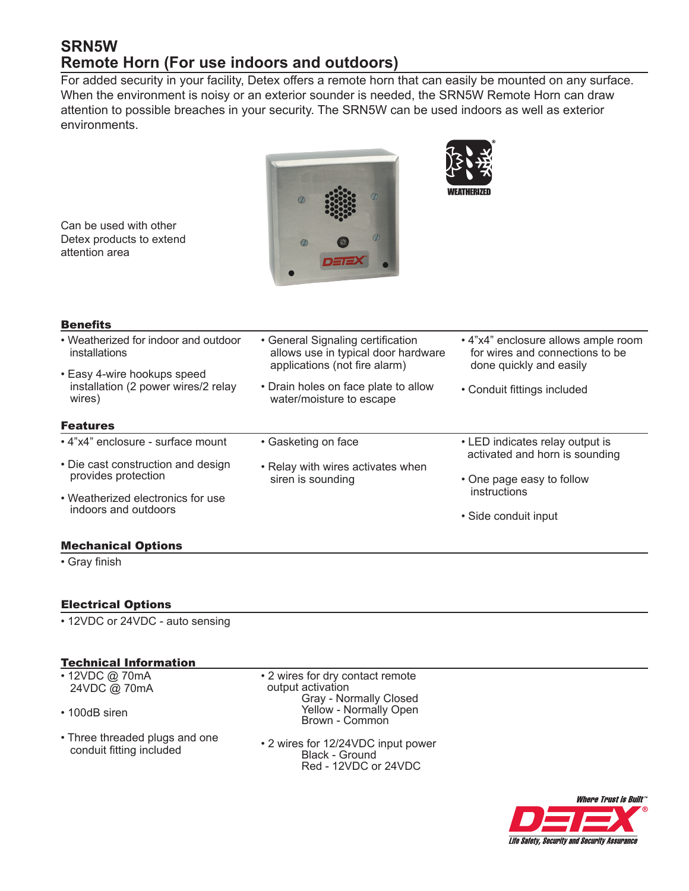# **SRN5W Remote Horn (For use indoors and outdoors)**

For added security in your facility, Detex offers a remote horn that can easily be mounted on any surface. When the environment is noisy or an exterior sounder is needed, the SRN5W Remote Horn can draw attention to possible breaches in your security. The SRN5W can be used indoors as well as exterior environments.



Can be used with other Detex products to extend attention area

# **Benefits**

| ---------                                                                                                                             |                                                                                                           |                                                                                                   |
|---------------------------------------------------------------------------------------------------------------------------------------|-----------------------------------------------------------------------------------------------------------|---------------------------------------------------------------------------------------------------|
| • Weatherized for indoor and outdoor<br>installations<br>• Easy 4-wire hookups speed<br>installation (2 power wires/2 relay<br>wires) | • General Signaling certification<br>allows use in typical door hardware<br>applications (not fire alarm) | • 4"x4" enclosure allows ample room<br>for wires and connections to be<br>done quickly and easily |
|                                                                                                                                       | • Drain holes on face plate to allow<br>water/moisture to escape                                          | • Conduit fittings included                                                                       |
| <b>Features</b>                                                                                                                       |                                                                                                           |                                                                                                   |
| • 4"x4" enclosure - surface mount                                                                                                     | • Gasketing on face                                                                                       | • LED indicates relay output is<br>activated and horn is sounding<br>• One page easy to follow    |
| • Die cast construction and design<br>provides protection                                                                             | • Relay with wires activates when<br>siren is sounding                                                    |                                                                                                   |
| • Weatherized electronics for use                                                                                                     |                                                                                                           | instructions                                                                                      |
| indoors and outdoors                                                                                                                  |                                                                                                           | • Side conduit input                                                                              |

## Mechanical Options

• Gray finish

# Electrical Options

• 12VDC or 24VDC - auto sensing

## Technical Information

- 12VDC @ 70mA 24VDC @ 70mA
- 100dB siren
- Three threaded plugs and one conduit fitting included

• 2 wires for dry contact remote output activation Gray - Normally Closed Yellow - Normally Open Brown - Common

• 2 wires for 12/24VDC input power Black - Ground Red - 12VDC or 24VDC